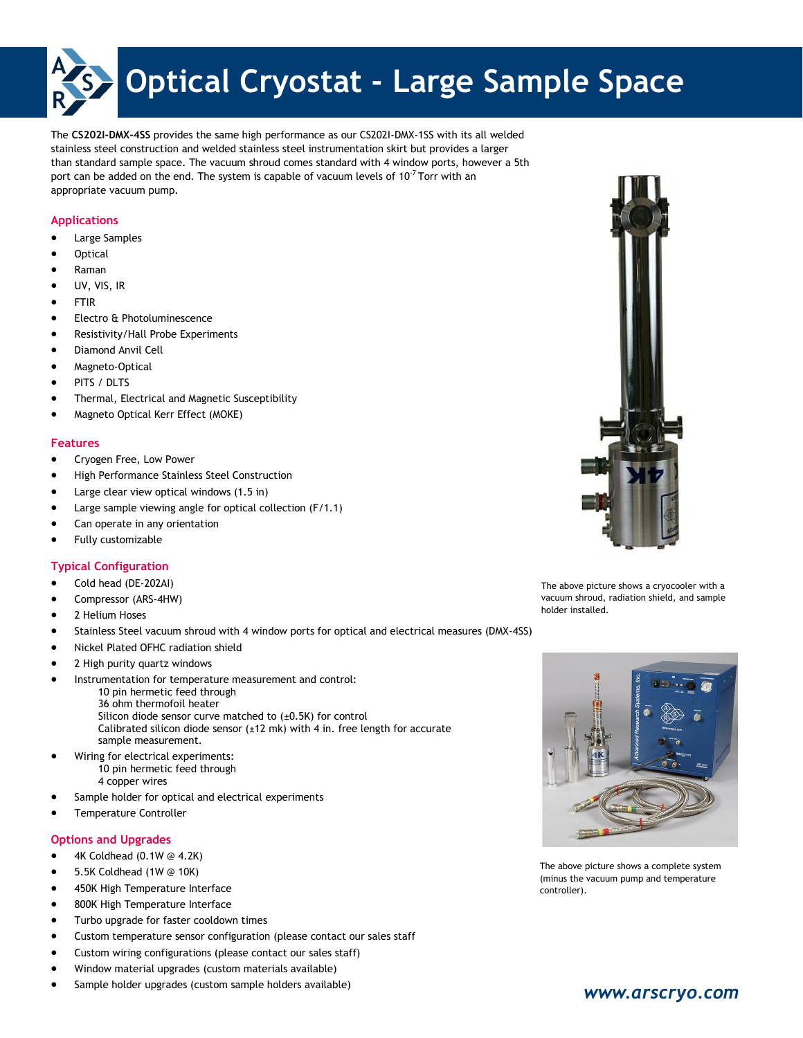

The **CS202I-DMX-4SS** provides the same high performance as our CS202I-DMX-1SS with its all welded stainless steel construction and welded stainless steel instrumentation skirt but provides a larger than standard sample space. The vacuum shroud comes standard with 4 window ports, however a 5th port can be added on the end. The system is capable of vacuum levels of  $10<sup>7</sup>$  Torr with an appropriate vacuum pump.

### **Applications**

- Large Samples
- **Optical**
- Raman
- UV, VIS, IR
- FTIR
- Electro & Photoluminescence
- Resistivity/Hall Probe Experiments
- Diamond Anvil Cell
- Magneto-Optical
- PITS / DLTS
- Thermal, Electrical and Magnetic Susceptibility
- Magneto Optical Kerr Effect (MOKE)

### **Features**

- **•** Cryogen Free, Low Power
- High Performance Stainless Steel Construction
- Large clear view optical windows (1.5 in)
- Large sample viewing angle for optical collection (F/1.1)
- Can operate in any orientation
- Fully customizable

### **Typical Configuration**

- Cold head (DE-202AI)
- Compressor (ARS-4HW)
- 2 Helium Hoses
- Stainless Steel vacuum shroud with 4 window ports for optical and electrical measures (DMX-4SS)
- Nickel Plated OFHC radiation shield
- 2 High purity quartz windows
- Instrumentation for temperature measurement and control:
	- 10 pin hermetic feed through 36 ohm thermofoil heater Silicon diode sensor curve matched to (±0.5K) for control Calibrated silicon diode sensor  $(\pm 12 \text{ mk})$  with 4 in. free length for accurate sample measurement.
- Wiring for electrical experiments: 10 pin hermetic feed through 4 copper wires
- Sample holder for optical and electrical experiments
- Temperature Controller

### **Options and Upgrades**

- 4K Coldhead (0.1W @ 4.2K)
- 5.5K Coldhead (1W @ 10K)
- 450K High Temperature Interface
- 800K High Temperature Interface
- Turbo upgrade for faster cooldown times
- Custom temperature sensor configuration (please contact our sales staff
- Custom wiring configurations (please contact our sales staff)
- Window material upgrades (custom materials available)
- Sample holder upgrades (custom sample holders available)



The above picture shows a cryocooler with a vacuum shroud, radiation shield, and sample holder installed.



The above picture shows a complete system (minus the vacuum pump and temperature controller).

# *www.arscryo.com*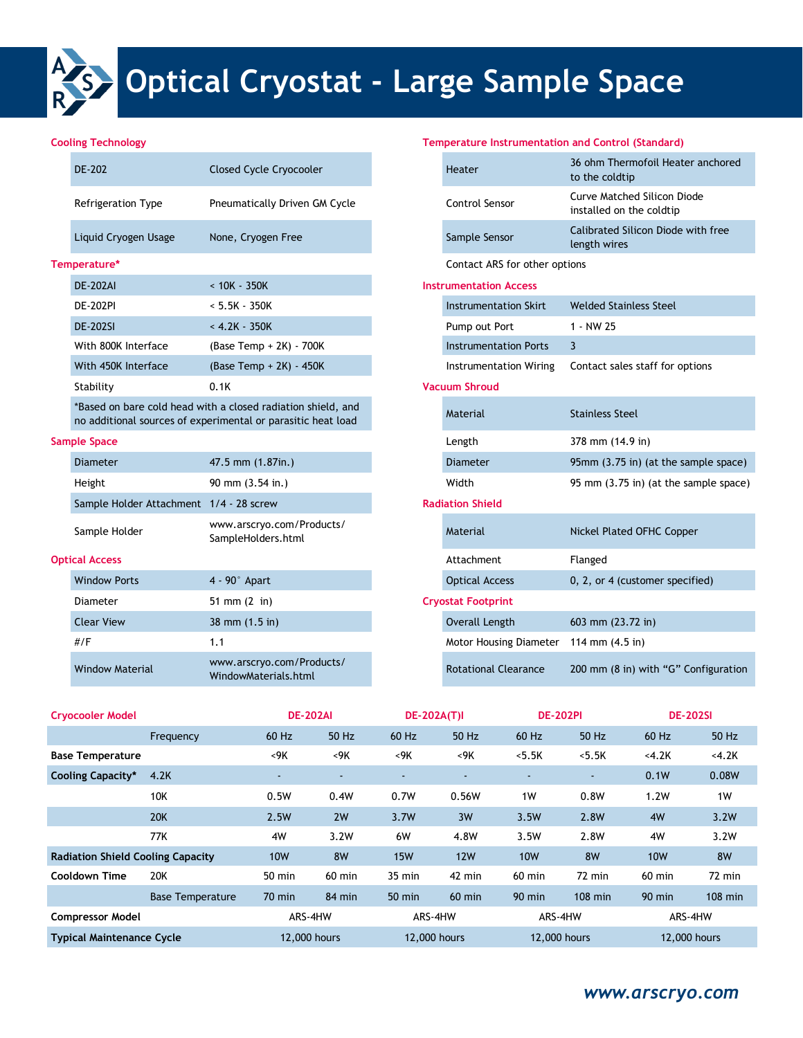

# **Optical Cryostat - Large Sample Space**

|  | DE-202               | <b>Closed Cycle Cryocooler</b>       |  |                               | 36 ohm Thermofoil Heater and<br>to the coldtip          |  |  |  |
|--|----------------------|--------------------------------------|--|-------------------------------|---------------------------------------------------------|--|--|--|
|  | Refrigeration Type   | <b>Pneumatically Driven GM Cycle</b> |  | Control Sensor                | Curve Matched Silicon Diode<br>installed on the coldtip |  |  |  |
|  | Liquid Cryogen Usage | None, Cryogen Free                   |  | Sample Sensor                 | Calibrated Silicon Diode with 1<br>length wires         |  |  |  |
|  | Temperature*         |                                      |  | Contact ARS for other options |                                                         |  |  |  |
|  | <b>DE-202AI</b>      | $< 10K - 350K$                       |  | <b>Instrumentation Access</b> |                                                         |  |  |  |
|  | <b>DE-202PI</b>      | $< 5.5K - 350K$                      |  | Instrumentation Skirt         | <b>Welded Stainless Steel</b>                           |  |  |  |
|  | <b>DE-202SI</b>      | $< 4.2K - 350K$                      |  | Pump out Port                 | 1 - NW 25                                               |  |  |  |
|  | With 800K Interface  | (Base Temp $+ 2K$ ) - 700K           |  | Instrumentation Ports         | 3                                                       |  |  |  |
|  | With 450K Interface  | (Base Temp $+ 2K$ ) - 450K           |  | Instrumentation Wiring        | Contact sales staff for options                         |  |  |  |
|  | Stability            | 0.1K                                 |  | <b>Vacuum Shroud</b>          |                                                         |  |  |  |
|  |                      |                                      |  |                               |                                                         |  |  |  |

#### **Sample Space**

| <b>Diameter</b>                           | $47.5$ mm $(1.87$ in.)                          | Diameter                |
|-------------------------------------------|-------------------------------------------------|-------------------------|
| Height                                    | 90 mm $(3.54 \text{ in.})$                      | Width                   |
| Sample Holder Attachment   1/4 - 28 screw |                                                 | <b>Radiation Shield</b> |
| Sample Holder                             | www.arscryo.com/Products/<br>SampleHolders.html | Material                |

#### **Optical Access**

| <b>Window Ports</b>    | $4 - 90^\circ$ Apart                              | <b>Optical Access</b>       | 0, 2, or 4 (customer specified) |
|------------------------|---------------------------------------------------|-----------------------------|---------------------------------|
| Diameter               | 51 mm $(2 \text{ in})$                            | <b>Cryostat Footprint</b>   |                                 |
| <b>Clear View</b>      | $38 \text{ mm} (1.5 \text{ in})$                  | Overall Length              | 603 mm $(23.72 \text{ in})$     |
| #/F                    | 1.1                                               | Motor Housing Diameter      | 114 mm (4.5 in)                 |
| <b>Window Material</b> | www.arscryo.com/Products/<br>WindowMaterials.html | <b>Rotational Clearance</b> | 200 mm (8 in) with "G" Config   |

## **Cooling Technology Temperature Instrumentation and Control (Standard)**

| DE-202                                    | <b>Closed Cycle Cryocooler</b>                                                                                               |  | Heater                        | 36 ohm Thermofoil Heater anchored<br>to the coldtip            |  |
|-------------------------------------------|------------------------------------------------------------------------------------------------------------------------------|--|-------------------------------|----------------------------------------------------------------|--|
| <b>Refrigeration Type</b>                 | Pneumatically Driven GM Cycle                                                                                                |  | <b>Control Sensor</b>         | <b>Curve Matched Silicon Diode</b><br>installed on the coldtip |  |
| Liquid Cryogen Usage                      | None, Cryogen Free                                                                                                           |  | Sample Sensor                 | Calibrated Silicon Diode with free<br>length wires             |  |
| perature*                                 |                                                                                                                              |  | Contact ARS for other options |                                                                |  |
| <b>DE-202AI</b>                           | $< 10K - 350K$                                                                                                               |  | <b>Instrumentation Access</b> |                                                                |  |
| <b>DE-202PI</b>                           | $< 5.5K - 350K$                                                                                                              |  | <b>Instrumentation Skirt</b>  | <b>Welded Stainless Steel</b>                                  |  |
| <b>DE-202SI</b>                           | $< 4.2K - 350K$                                                                                                              |  | Pump out Port                 | 1 - NW 25                                                      |  |
| With 800K Interface                       | (Base Temp + 2K) - 700K                                                                                                      |  | <b>Instrumentation Ports</b>  | 3                                                              |  |
| With 450K Interface                       | (Base Temp + 2K) - 450K                                                                                                      |  | <b>Instrumentation Wiring</b> | Contact sales staff for options                                |  |
| Stability                                 | 0.1K                                                                                                                         |  | <b>Vacuum Shroud</b>          |                                                                |  |
|                                           | *Based on bare cold head with a closed radiation shield, and<br>no additional sources of experimental or parasitic heat load |  | Material                      | <b>Stainless Steel</b>                                         |  |
| ole Space                                 |                                                                                                                              |  | Length                        | 378 mm (14.9 in)                                               |  |
| <b>Diameter</b>                           | 47.5 mm (1.87in.)                                                                                                            |  | <b>Diameter</b>               | 95mm (3.75 in) (at the sample space)                           |  |
| Height                                    | 90 mm (3.54 in.)                                                                                                             |  | Width                         | 95 mm (3.75 in) (at the sample space)                          |  |
| Sample Holder Attachment   1/4 - 28 screw |                                                                                                                              |  | <b>Radiation Shield</b>       |                                                                |  |
| Sample Holder                             | www.arscryo.com/Products/<br>SampleHolders.html                                                                              |  | Material                      | Nickel Plated OFHC Copper                                      |  |
| al Access                                 |                                                                                                                              |  | Attachment                    | Flanged                                                        |  |
| <b>Window Ports</b>                       | $4 - 90°$ Apart                                                                                                              |  | <b>Optical Access</b>         | 0, 2, or 4 (customer specified)                                |  |
| Diameter                                  | 51 mm $(2 \text{ in})$                                                                                                       |  | <b>Cryostat Footprint</b>     |                                                                |  |
| <b>Clear View</b>                         | 38 mm $(1.5 \text{ in})$                                                                                                     |  | <b>Overall Length</b>         | 603 mm (23.72 in)                                              |  |
| #/F                                       | 1.1                                                                                                                          |  | Motor Housing Diameter        | 114 mm $(4.5 \text{ in})$                                      |  |
| <b>Window Material</b>                    | www.arscryo.com/Products/<br>WindowMaterials.html                                                                            |  | <b>Rotational Clearance</b>   | 200 mm (8 in) with "G" Configuration                           |  |

| <b>Cryocooler Model</b>                  |                         | <b>DE-202AI</b>  |                          | <b>DE-202A(T)I</b> |                          | <b>DE-202PI</b> |                  | <b>DE-202SI</b> |           |
|------------------------------------------|-------------------------|------------------|--------------------------|--------------------|--------------------------|-----------------|------------------|-----------------|-----------|
|                                          | Frequency               | 60 Hz            | 50 Hz                    | 60 Hz              | 50 Hz                    | 60 Hz           | 50 Hz            | 60 Hz           | 50 Hz     |
| <b>Base Temperature</b>                  |                         | <9K              | $<$ 9K                   | $<$ 9K             | $<$ 9K                   | < 5.5K          | < 5.5K           | <4.2K           | <4.2K     |
| <b>Cooling Capacity*</b>                 | 4.2K                    | ۰.               | $\overline{\phantom{a}}$ |                    | $\overline{\phantom{a}}$ |                 | $\sim$           | 0.1W            | 0.08W     |
|                                          | <b>10K</b>              | 0.5W             | 0.4W                     | 0.7W               | 0.56W                    | 1W              | 0.8W             | 1.2W            | 1W        |
|                                          | <b>20K</b>              | 2.5W             | 2W                       | 3.7W               | 3W                       | 3.5W            | 2.8W             | 4W              | 3.2W      |
|                                          | 77K                     | 4W               | 3.2W                     | 6W                 | 4.8W                     | 3.5W            | 2.8W             | 4W              | 3.2W      |
| <b>Radiation Shield Cooling Capacity</b> |                         | <b>10W</b>       | 8W                       | <b>15W</b>         | <b>12W</b>               | <b>10W</b>      | 8W               | <b>10W</b>      | <b>8W</b> |
| Cooldown Time                            | 20K                     | $50 \text{ min}$ | $60$ min                 | $35$ min           | 42 min                   | $60$ min        | $72 \text{ min}$ | $60$ min        | $72$ min  |
|                                          | <b>Base Temperature</b> | $70$ min         | $84 \text{ min}$         | $50$ min           | $60$ min                 | $90$ min        | $108$ min        | $90$ min        | $108$ min |
| <b>Compressor Model</b>                  |                         | ARS-4HW          |                          | ARS-4HW            |                          | ARS-4HW         |                  | ARS-4HW         |           |
| <b>Typical Maintenance Cycle</b>         |                         | 12,000 hours     |                          | 12,000 hours       |                          | 12,000 hours    |                  | 12,000 hours    |           |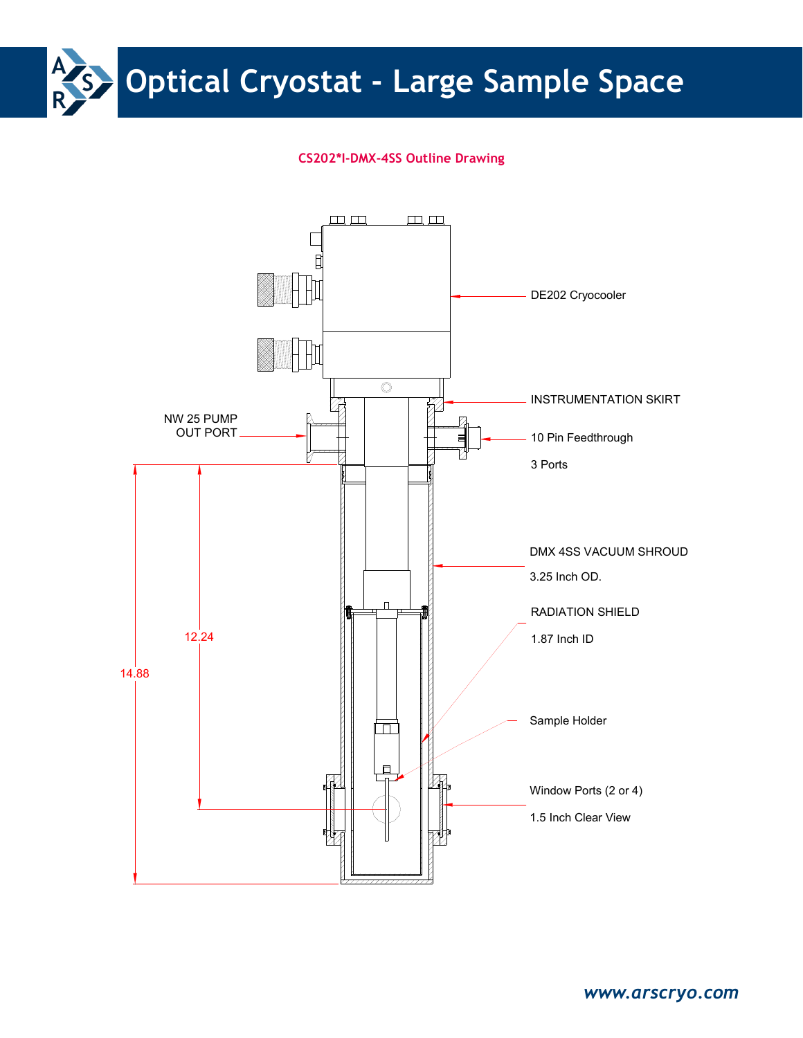

## **CS202\*I-DMX-4SS Outline Drawing**